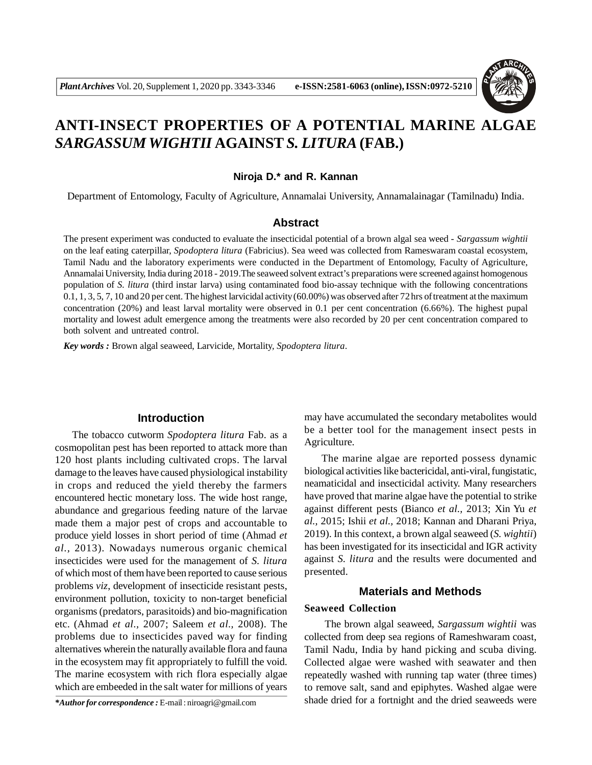

# **ANTI-INSECT PROPERTIES OF A POTENTIAL MARINE ALGAE** *SARGASSUM WIGHTII* **AGAINST***S. LITURA* **(FAB.)**

## **Niroja D.\* and R. Kannan**

Department of Entomology, Faculty of Agriculture, Annamalai University, Annamalainagar (Tamilnadu) India.

# **Abstract**

The present experiment was conducted to evaluate the insecticidal potential of a brown algal sea weed - *Sargassum wightii* on the leaf eating caterpillar, *Spodoptera litura* (Fabricius). Sea weed was collected from Rameswaram coastal ecosystem, Tamil Nadu and the laboratory experiments were conducted in the Department of Entomology, Faculty of Agriculture, Annamalai University, India during 2018 - 2019.The seaweed solvent extract's preparations were screened against homogenous population of *S. litura* (third instar larva) using contaminated food bio-assay technique with the following concentrations 0.1, 1, 3, 5, 7, 10 and 20 per cent. The highest larvicidal activity (60.00%) was observed after 72 hrs of treatment at the maximum concentration (20%) and least larval mortality were observed in 0.1 per cent concentration (6.66%). The highest pupal mortality and lowest adult emergence among the treatments were also recorded by 20 per cent concentration compared to both solvent and untreated control.

*Key words :* Brown algal seaweed, Larvicide*,* Mortality*, Spodoptera litura*.

#### **Introduction**

The tobacco cutworm *Spodoptera litura* Fab. as a cosmopolitan pest has been reported to attack more than 120 host plants including cultivated crops. The larval damage to the leaves have caused physiological instability in crops and reduced the yield thereby the farmers encountered hectic monetary loss. The wide host range, abundance and gregarious feeding nature of the larvae made them a major pest of crops and accountable to produce yield losses in short period of time (Ahmad *et al.,* 2013). Nowadays numerous organic chemical insecticides were used for the management of *S. litura* of which most of them have been reported to cause serious problems *viz*, development of insecticide resistant pests, environment pollution, toxicity to non-target beneficial organisms (predators, parasitoids) and bio-magnification etc. (Ahmad *et al.,* 2007; Saleem *et al.,* 2008). The problems due to insecticides paved way for finding alternatives wherein the naturally available flora and fauna in the ecosystem may fit appropriately to fulfill the void. The marine ecosystem with rich flora especially algae which are embeeded in the salt water for millions of years

*\*Author for correspondence :* E-mail : niroagri@gmail.com

may have accumulated the secondary metabolites would be a better tool for the management insect pests in Agriculture.

The marine algae are reported possess dynamic biological activities like bactericidal, anti-viral, fungistatic, neamaticidal and insecticidal activity. Many researchers have proved that marine algae have the potential to strike against different pests (Bianco *et al.,* 2013; Xin Yu *et al.,* 2015; Ishii *et al.,* 2018; Kannan and Dharani Priya, 2019). In this context, a brown algal seaweed (*S. wightii*) has been investigated for its insecticidal and IGR activity against *S. litura* and the results were documented and presented.

# **Materials and Methods**

#### **Seaweed Collection**

 The brown algal seaweed, *Sargassum wightii* was collected from deep sea regions of Rameshwaram coast, Tamil Nadu, India by hand picking and scuba diving. Collected algae were washed with seawater and then repeatedly washed with running tap water (three times) to remove salt, sand and epiphytes. Washed algae were shade dried for a fortnight and the dried seaweeds were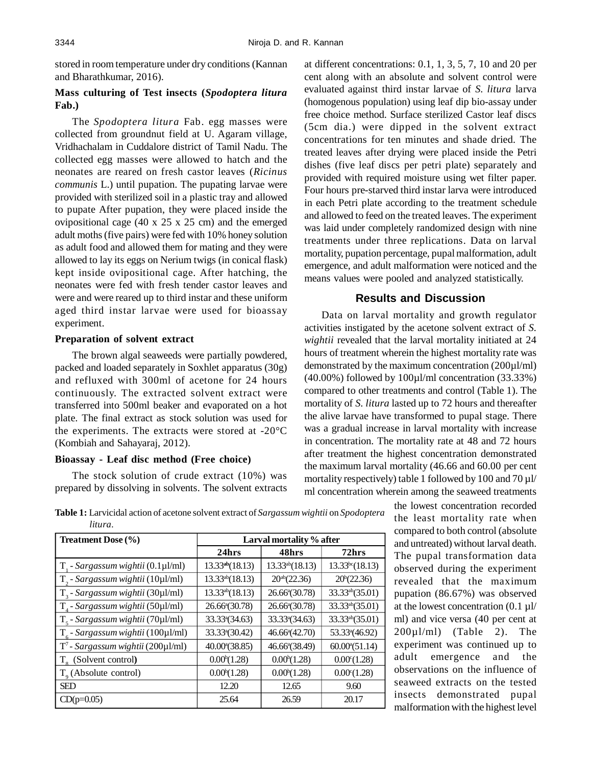stored in room temperature under dry conditions (Kannan and Bharathkumar, 2016).

# **Mass culturing of Test insects (***Spodoptera litura* **Fab.)**

The *Spodoptera litura* Fab. egg masses were collected from groundnut field at U. Agaram village, Vridhachalam in Cuddalore district of Tamil Nadu. The collected egg masses were allowed to hatch and the neonates are reared on fresh castor leaves (*Ricinus communis* L.) until pupation. The pupating larvae were provided with sterilized soil in a plastic tray and allowed to pupate After pupation, they were placed inside the ovipositional cage (40 x 25 x 25 cm) and the emerged adult moths (five pairs) were fed with 10% honey solution as adult food and allowed them for mating and they were allowed to lay its eggs on Nerium twigs (in conical flask) kept inside ovipositional cage. After hatching, the neonates were fed with fresh tender castor leaves and were and were reared up to third instar and these uniform aged third instar larvae were used for bioassay experiment.

#### **Preparation of solvent extract**

The brown algal seaweeds were partially powdered, packed and loaded separately in Soxhlet apparatus (30g) and refluxed with 300ml of acetone for 24 hours continuously. The extracted solvent extract were transferred into 500ml beaker and evaporated on a hot plate. The final extract as stock solution was used for the experiments. The extracts were stored at -20°C (Kombiah and Sahayaraj, 2012).

## **Bioassay - Leaf disc method (Free choice)**

The stock solution of crude extract (10%) was prepared by dissolving in solvents. The solvent extracts at different concentrations: 0.1, 1, 3, 5, 7, 10 and 20 per cent along with an absolute and solvent control were evaluated against third instar larvae of *S. litura* larva (homogenous population) using leaf dip bio-assay under free choice method. Surface sterilized Castor leaf discs (5cm dia.) were dipped in the solvent extract concentrations for ten minutes and shade dried. The treated leaves after drying were placed inside the Petri dishes (five leaf discs per petri plate) separately and provided with required moisture using wet filter paper. Four hours pre-starved third instar larva were introduced in each Petri plate according to the treatment schedule and allowed to feed on the treated leaves. The experiment was laid under completely randomized design with nine treatments under three replications. Data on larval mortality, pupation percentage, pupal malformation, adult emergence, and adult malformation were noticed and the means values were pooled and analyzed statistically.

# **Results and Discussion**

Data on larval mortality and growth regulator activities instigated by the acetone solvent extract of *S. wightii* revealed that the larval mortality initiated at 24 hours of treatment wherein the highest mortality rate was demonstrated by the maximum concentration (200µl/ml) (40.00%) followed by 100µl/ml concentration (33.33%) compared to other treatments and control (Table 1). The mortality of *S. litura* lasted up to 72 hours and thereafter the alive larvae have transformed to pupal stage. There was a gradual increase in larval mortality with increase in concentration. The mortality rate at 48 and 72 hours after treatment the highest concentration demonstrated the maximum larval mortality (46.66 and 60.00 per cent mortality respectively) table 1 followed by 100 and 70  $\mu$ l/ ml concentration wherein among the seaweed treatments

> the lowest concentration recorded the least mortality rate when compared to both control (absolute and untreated) without larval death. The pupal transformation data observed during the experiment revealed that the maximum pupation (86.67%) was observed at the lowest concentration (0.1 µl/ ml) and vice versa (40 per cent at  $200\mu$ l/ml) (Table 2). The experiment was continued up to adult emergence and the observations on the influence of seaweed extracts on the tested insects demonstrated pupal malformation with the highest level

**Table 1:** Larvicidal action of acetone solvent extract of *Sargassum wightii* on *Spodoptera litura.*

| <b>Treatment Dose (%)</b>                    | Larval mortality % after   |                            |                             |  |
|----------------------------------------------|----------------------------|----------------------------|-----------------------------|--|
|                                              | 24hrs                      | 48hrs                      | 72hrs                       |  |
| $T1$ - Sargassum wightii (0.1µl/ml)          | $13.33^{ab}(18.13)$        | $13.33^{ab}(18.13)$        | 13.33 <sup>bc</sup> (18.13) |  |
| $T_{2}$ - Sargassum wightii (10µl/ml)        | $13.33^{ab}(18.13)$        | $20^{ab}(22.36)$           | $20^b(22.36)$               |  |
| $T_3$ - Sargassum wightii (30µl/ml)          | $13.33^{ab}(18.13)$        | 26.66 <sup>a</sup> (30.78) | 33.33ab(35.01)              |  |
| T <sub>4</sub> - Sargassum wightii (50µl/ml) | 26.66 <sup>a</sup> (30.78) | 26.66 <sup>a</sup> (30.78) | 33.33ab(35.01)              |  |
| $T_s$ - Sargassum wightii (70µl/ml)          | 33.33 <sup>a</sup> (34.63) | 33.33 <sup>a</sup> (34.63) | 33.33ab(35.01)              |  |
| $T_{6}$ - Sargassum wightii (100µl/ml)       | 33.33 <sup>a</sup> (30.42) | 46.66 <sup>a</sup> (42.70) | 53.33 <sup>a</sup> (46.92)  |  |
| $T^7$ - Sargassum wightii (200µl/ml)         | 40.00 (38.85)              | 46.66 <sup>a</sup> (38.49) | $60.00^{\circ} (51.14)$     |  |
| T <sub>o</sub> (Solvent control)             | $0.00^{\circ}(1.28)$       | $0.00^{\circ}(1.28)$       | $0.00^{\circ}(1.28)$        |  |
| $T_{o}$ (Absolute control)                   | $0.00^{\circ}(1.28)$       | $0.00^{\circ}(1.28)$       | $0.00^{\circ}(1.28)$        |  |
| <b>SED</b>                                   | 12.20                      | 12.65                      | 9.60                        |  |
| $CD(p=0.05)$                                 | 25.64                      | 26.59                      | 20.17                       |  |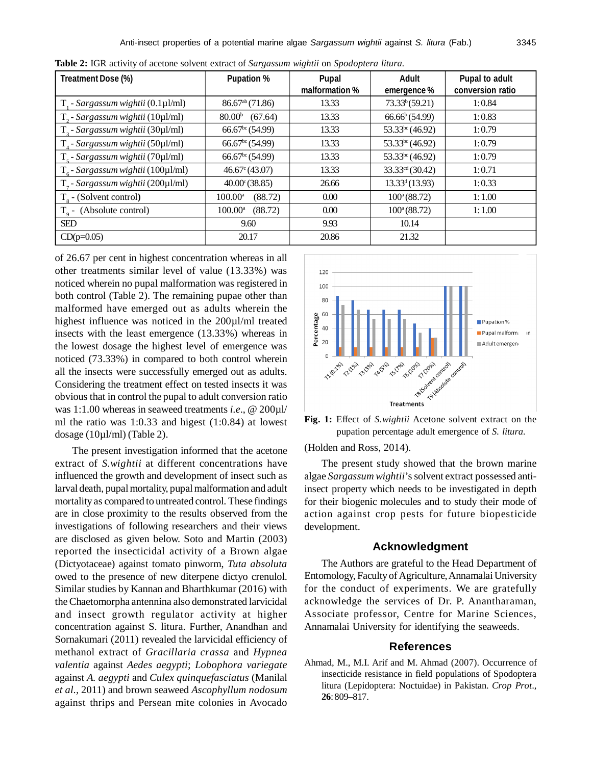| Treatment Dose (%)                     | <b>Pupation %</b>              | Pupal<br>malformation % | <b>Adult</b><br>emergence%  | Pupal to adult<br>conversion ratio |
|----------------------------------------|--------------------------------|-------------------------|-----------------------------|------------------------------------|
| $T1$ - Sargassum wightii (0.1µ1/ml)    | $86.67^{ab}$ (71.86)           | 13.33                   | 73.33 <sup>b</sup> (59.21)  | 1:0.84                             |
| $T_{2}$ - Sargassum wightii (10µl/ml)  | (67.64)<br>80.00 <sup>b</sup>  | 13.33                   | $66.66^b(54.99)$            | 1:0.83                             |
| $T3$ - Sargassum wightii (30µl/ml)     | 66.67 <sup>bc</sup> (54.99)    | 13.33                   | $53.33^{bc} (46.92)$        | 1:0.79                             |
| $T_{4}$ - Sargassum wightii (50µl/ml)  | 66.67 <sup>bc</sup> (54.99)    | 13.33                   | $53.33^{bc} (46.92)$        | 1:0.79                             |
| $T_s$ - Sargassum wightii (70µl/ml)    | 66.67 <sup>bc</sup> (54.99)    | 13.33                   | $53.33^{bc} (46.92)$        | 1:0.79                             |
| $T_{6}$ - Sargassum wightii (100µl/ml) | $46.67^{\circ} (43.07)$        | 13.33                   | 33.33 <sup>cd</sup> (30.42) | 1:0.71                             |
| $T7$ - Sargassum wightii (200µl/ml)    | $40.00^{\circ}$ (38.85)        | 26.66                   | 13.33 <sup>d</sup> (13.93)  | 1:0.33                             |
| $T_{\rm s}$ - (Solvent control)        | (88.72)<br>$100.00^{\rm a}$    | 0.00                    | $100^a(88.72)$              | 1:1.00                             |
| $To$ - (Absolute control)              | (88.72)<br>$100.00^{\text{a}}$ | 0.00                    | $100^a(88.72)$              | 1:1.00                             |
| <b>SED</b>                             | 9.60                           | 9.93                    | 10.14                       |                                    |
| $CD(p=0.05)$                           | 20.17                          | 20.86                   | 21.32                       |                                    |

**Table 2:** IGR activity of acetone solvent extract of *Sargassum wightii* on *Spodoptera litura.*

of 26.67 per cent in highest concentration whereas in all other treatments similar level of value (13.33%) was noticed wherein no pupal malformation was registered in both control (Table 2). The remaining pupae other than malformed have emerged out as adults wherein the highest influence was noticed in the 200µl/ml treated insects with the least emergence (13.33%) whereas in the lowest dosage the highest level of emergence was noticed (73.33%) in compared to both control wherein all the insects were successfully emerged out as adults. Considering the treatment effect on tested insects it was obvious that in control the pupal to adult conversion ratio was 1:1.00 whereas in seaweed treatments *i.e*., @ 200µl/ ml the ratio was 1:0.33 and higest (1:0.84) at lowest dosage (10µl/ml) (Table 2).

The present investigation informed that the acetone extract of *S.wightii* at different concentrations have influenced the growth and development of insect such as larval death, pupal mortality, pupal malformation and adult mortality as compared to untreated control. These findings are in close proximity to the results observed from the investigations of following researchers and their views are disclosed as given below. Soto and Martin (2003) reported the insecticidal activity of a Brown algae (Dictyotaceae) against tomato pinworm, *Tuta absoluta* owed to the presence of new diterpene dictyo crenulol. Similar studies by Kannan and Bharthkumar (2016) with the Chaetomorpha antennina also demonstrated larvicidal and insect growth regulator activity at higher concentration against S. litura. Further, Anandhan and Sornakumari (2011) revealed the larvicidal efficiency of methanol extract of *Gracillaria crassa* and *Hypnea valentia* against *Aedes aegypti*; *Lobophora variegate* against *A. aegypti* and *Culex quinquefasciatus* (Manilal *et al.,* 2011) and brown seaweed *Ascophyllum nodosum* against thrips and Persean mite colonies in Avocado



**Fig. 1:** Effect of *S.wightii* Acetone solvent extract on the pupation percentage adult emergence of *S. litura.*

(Holden and Ross, 2014).

The present study showed that the brown marine algae *Sargassum wightii*'s solvent extract possessed antiinsect property which needs to be investigated in depth for their biogenic molecules and to study their mode of action against crop pests for future biopesticide development.

## **Acknowledgment**

The Authors are grateful to the Head Department of Entomology, Faculty of Agriculture, Annamalai University for the conduct of experiments. We are gratefully acknowledge the services of Dr. P. Anantharaman, Associate professor, Centre for Marine Sciences, Annamalai University for identifying the seaweeds.

#### **References**

Ahmad, M., M.I. Arif and M. Ahmad (2007). Occurrence of insecticide resistance in field populations of Spodoptera litura (Lepidoptera: Noctuidae) in Pakistan. *Crop Prot*., **26**: 809–817.